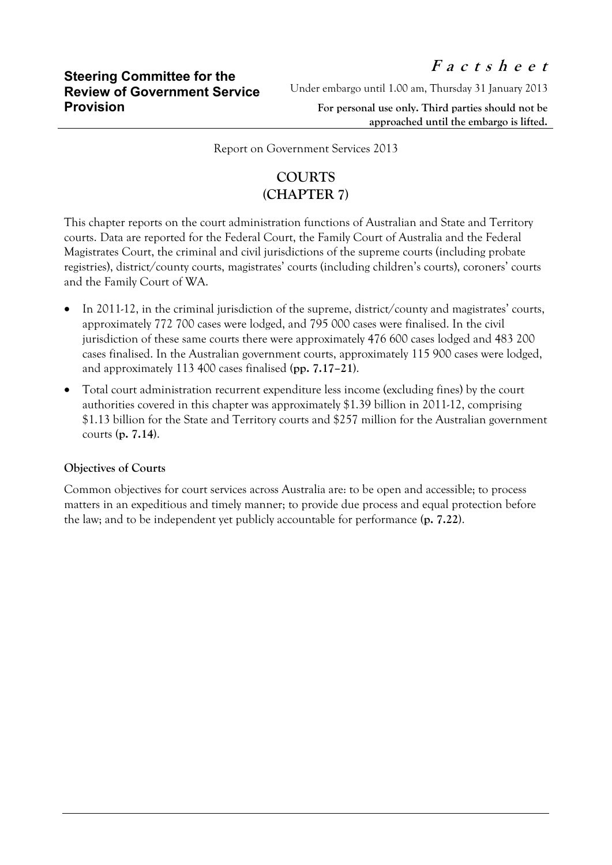Under embargo until 1.00 am, Thursday 31 January 2013

**For personal use only. Third parties should not be approached until the embargo is lifted.**

Report on Government Services 2013

## **COURTS (CHAPTER 7)**

This chapter reports on the court administration functions of Australian and State and Territory courts. Data are reported for the Federal Court, the Family Court of Australia and the Federal Magistrates Court, the criminal and civil jurisdictions of the supreme courts (including probate registries), district/county courts, magistrates' courts (including children's courts), coroners' courts and the Family Court of WA.

- In 2011-12, in the criminal jurisdiction of the supreme, district/county and magistrates' courts, approximately 772 700 cases were lodged, and 795 000 cases were finalised. In the civil jurisdiction of these same courts there were approximately 476 600 cases lodged and 483 200 cases finalised. In the Australian government courts, approximately 115 900 cases were lodged, and approximately 113 400 cases finalised **(pp. 7.17–21)**.
- Total court administration recurrent expenditure less income (excluding fines) by the court authorities covered in this chapter was approximately \$1.39 billion in 2011-12, comprising \$1.13 billion for the State and Territory courts and \$257 million for the Australian government courts **(p. 7.14)**.

## **Objectives of Courts**

Common objectives for court services across Australia are: to be open and accessible; to process matters in an expeditious and timely manner; to provide due process and equal protection before the law; and to be independent yet publicly accountable for performance **(p. 7.22)**.